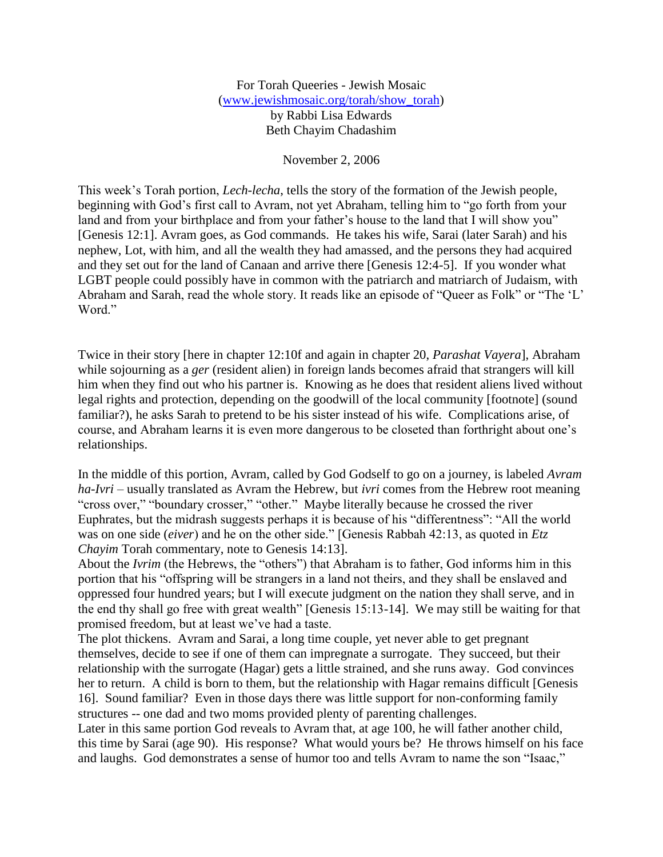For Torah Queeries - Jewish Mosaic [\(www.jewishmosaic.org/torah/show\\_torah\)](http://www.jewishmosaic.org/torah/show_to/http:/www.jewishmosaic.org/torah/show_torah) by Rabbi Lisa Edwards Beth Chayim Chadashim

November 2, 2006

This week's Torah portion, *Lech-lecha*, tells the story of the formation of the Jewish people, beginning with God's first call to Avram, not yet Abraham, telling him to "go forth from your land and from your birthplace and from your father's house to the land that I will show you" [Genesis 12:1]. Avram goes, as God commands. He takes his wife, Sarai (later Sarah) and his nephew, Lot, with him, and all the wealth they had amassed, and the persons they had acquired and they set out for the land of Canaan and arrive there [Genesis 12:4-5]. If you wonder what LGBT people could possibly have in common with the patriarch and matriarch of Judaism, with Abraham and Sarah, read the whole story. It reads like an episode of "Queer as Folk" or "The 'L' Word."

Twice in their story [here in chapter 12:10f and again in chapter 20, *Parashat Vayera*], Abraham while sojourning as a *ger* (resident alien) in foreign lands becomes afraid that strangers will kill him when they find out who his partner is. Knowing as he does that resident aliens lived without legal rights and protection, depending on the goodwill of the local community [footnote] (sound familiar?), he asks Sarah to pretend to be his sister instead of his wife. Complications arise, of course, and Abraham learns it is even more dangerous to be closeted than forthright about one's relationships.

In the middle of this portion, Avram, called by God Godself to go on a journey, is labeled *Avram ha-Ivri* – usually translated as Avram the Hebrew, but *ivri* comes from the Hebrew root meaning "cross over," "boundary crosser," "other." Maybe literally because he crossed the river Euphrates, but the midrash suggests perhaps it is because of his "differentness": "All the world was on one side (*eiver*) and he on the other side." [Genesis Rabbah 42:13, as quoted in *Etz Chayim* Torah commentary, note to Genesis 14:13].

About the *Ivrim* (the Hebrews, the "others") that Abraham is to father, God informs him in this portion that his "offspring will be strangers in a land not theirs, and they shall be enslaved and oppressed four hundred years; but I will execute judgment on the nation they shall serve, and in the end thy shall go free with great wealth" [Genesis 15:13-14]. We may still be waiting for that promised freedom, but at least we've had a taste.

The plot thickens. Avram and Sarai, a long time couple, yet never able to get pregnant themselves, decide to see if one of them can impregnate a surrogate. They succeed, but their relationship with the surrogate (Hagar) gets a little strained, and she runs away. God convinces her to return. A child is born to them, but the relationship with Hagar remains difficult [Genesis 16]. Sound familiar? Even in those days there was little support for non-conforming family structures -- one dad and two moms provided plenty of parenting challenges.

Later in this same portion God reveals to Avram that, at age 100, he will father another child, this time by Sarai (age 90). His response? What would yours be? He throws himself on his face and laughs. God demonstrates a sense of humor too and tells Avram to name the son "Isaac,"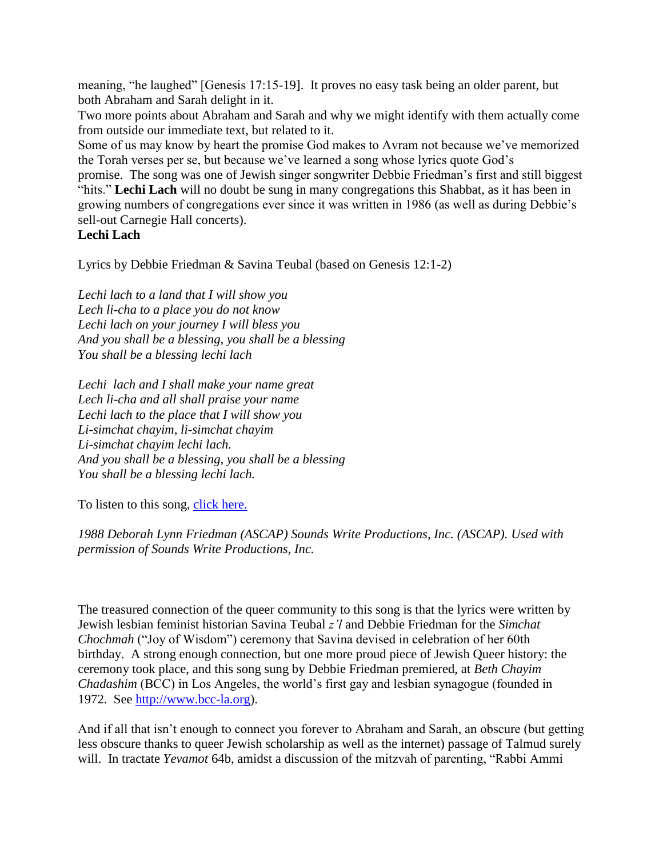meaning, "he laughed" [Genesis 17:15-19]. It proves no easy task being an older parent, but both Abraham and Sarah delight in it.

Two more points about Abraham and Sarah and why we might identify with them actually come from outside our immediate text, but related to it.

Some of us may know by heart the promise God makes to Avram not because we've memorized the Torah verses per se, but because we've learned a song whose lyrics quote God's

promise. The song was one of Jewish singer songwriter Debbie Friedman's first and still biggest "hits." **Lechi Lach** will no doubt be sung in many congregations this Shabbat, as it has been in growing numbers of congregations ever since it was written in 1986 (as well as during Debbie's sell-out Carnegie Hall concerts).

## **Lechi Lach**

Lyrics by Debbie Friedman & Savina Teubal (based on Genesis 12:1-2)

*Lechi lach to a land that I will show you Lech li-cha to a place you do not know Lechi lach on your journey I will bless you And you shall be a blessing, you shall be a blessing You shall be a blessing lechi lach*

*Lechi lach and I shall make your name great Lech li-cha and all shall praise your name Lechi lach to the place that I will show you Li-simchat chayim, li-simchat chayim Li-simchat chayim lechi lach. And you shall be a blessing, you shall be a blessing You shall be a blessing lechi lach.*

To listen to this song, click here.

*1988 Deborah Lynn Friedman (ASCAP) Sounds Write Productions, Inc. (ASCAP). Used with permission of Sounds Write Productions, Inc.*

The treasured connection of the queer community to this song is that the lyrics were written by Jewish lesbian feminist historian Savina Teubal *z'l* and Debbie Friedman for the *Simchat Chochmah* ("Joy of Wisdom") ceremony that Savina devised in celebration of her 60th birthday. A strong enough connection, but one more proud piece of Jewish Queer history: the ceremony took place, and this song sung by Debbie Friedman premiered, at *Beth Chayim Chadashim* (BCC) in Los Angeles, the world's first gay and lesbian synagogue (founded in 1972. See [http://www.bcc-la.org\)](http://www.bcc-la.org/).

And if all that isn't enough to connect you forever to Abraham and Sarah, an obscure (but getting less obscure thanks to queer Jewish scholarship as well as the internet) passage of Talmud surely will. In tractate *Yevamot* 64b, amidst a discussion of the mitzvah of parenting, "Rabbi Ammi